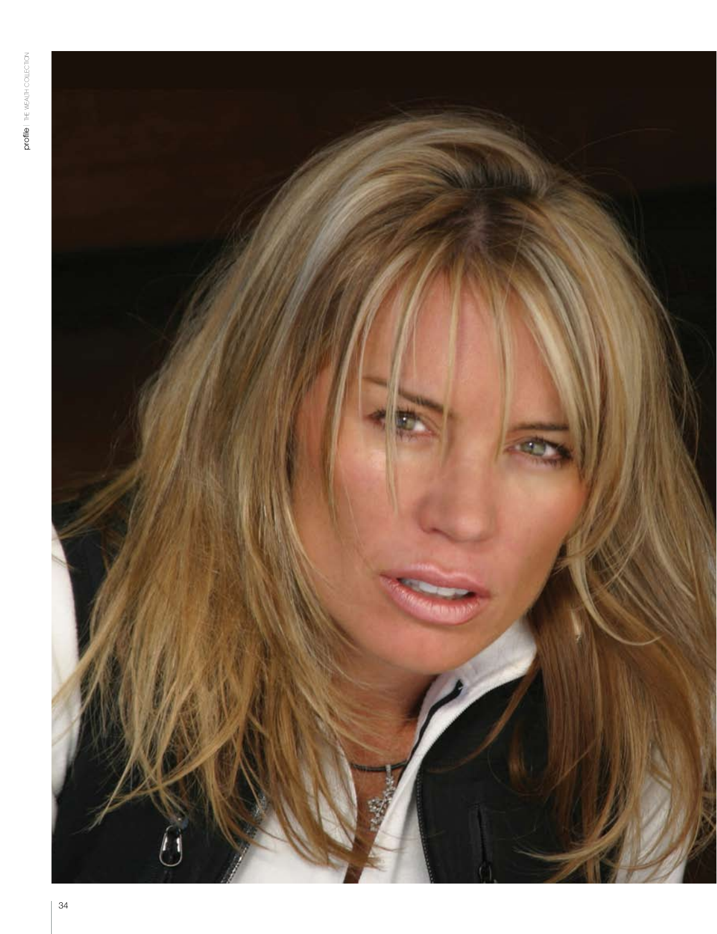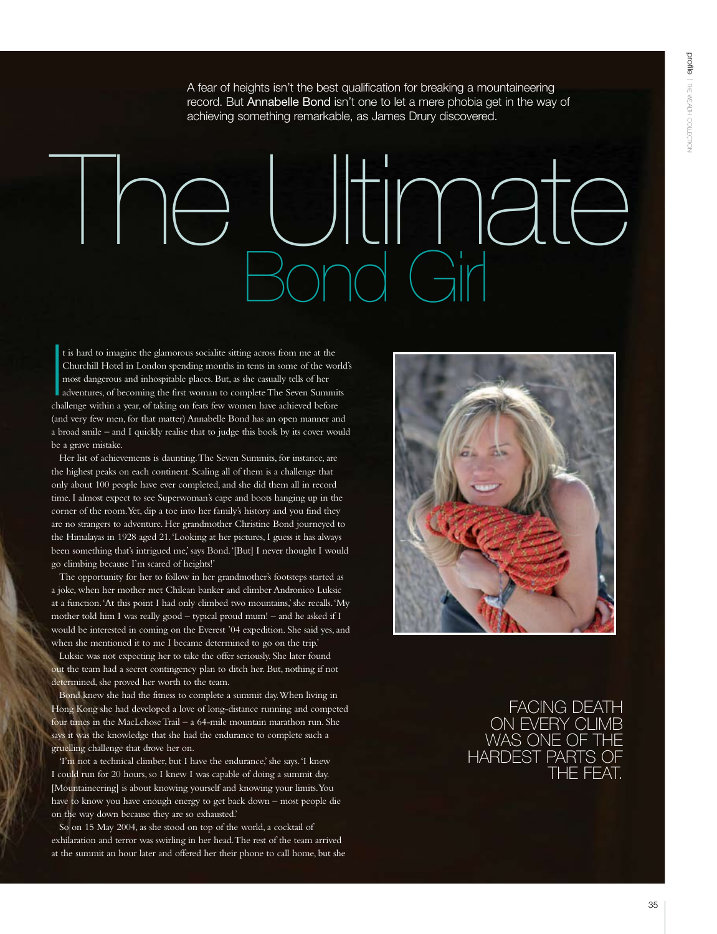A fear of heights isn't the best qualification for breaking a mountaineering record. But Annabelle Bond isn't one to let a mere phobia get in the way of achieving something remarkable, as James Drury discovered.

# Ultimate Bond Girl

**I**<br>I dia cha t is hard to imagine the glamorous socialite sitting across from me at the Churchill Hotel in London spending months in tents in some of the world's most dangerous and inhospitable places. But, as she casually tells of her adventures, of becoming the first woman to complete The Seven Summits challenge within a year, of taking on feats few women have achieved before (and very few men, for that matter) Annabelle Bond has an open manner and a broad smile – and I quickly realise that to judge this book by its cover would be a grave mistake.

Her list of achievements is daunting. The Seven Summits, for instance, are the highest peaks on each continent. Scaling all of them is a challenge that only about 100 people have ever completed, and she did them all in record time. I almost expect to see Superwoman's cape and boots hanging up in the corner of the room. Yet, dip a toe into her family's history and you find they are no strangers to adventure. Her grandmother Christine Bond journeyed to the Himalayas in 1928 aged 21. 'Looking at her pictures, I guess it has always been something that's intrigued me,' says Bond. '[But] I never thought I would go climbing because I'm scared of heights!'

The opportunity for her to follow in her grandmother's footsteps started as a joke, when her mother met Chilean banker and climber Andronico Luksic at a function. 'At this point I had only climbed two mountains,' she recalls. 'My mother told him I was really good – typical proud mum! – and he asked if I would be interested in coming on the Everest '04 expedition. She said yes, and when she mentioned it to me I became determined to go on the trip.'

Luksic was not expecting her to take the offer seriously. She later found out the team had a secret contingency plan to ditch her. But, nothing if not determined, she proved her worth to the team.

Bond knew she had the fitness to complete a summit day. When living in Hong Kong she had developed a love of long-distance running and competed four times in the MacLehose Trail – a 64-mile mountain marathon run. She says it was the knowledge that she had the endurance to complete such a gruelling challenge that drove her on.

'I'm not a technical climber, but I have the endurance,' she says. 'I knew I could run for 20 hours, so I knew I was capable of doing a summit day. [Mountaineering] is about knowing yourself and knowing your limits. You have to know you have enough energy to get back down – most people die on the way down because they are so exhausted.'

So on 15 May 2004, as she stood on top of the world, a cocktail of exhilaration and terror was swirling in her head. The rest of the team arrived at the summit an hour later and offered her their phone to call home, but she



**FACING DEATH** ON EVERY CLIMB was one of the hardest parts of the feat.